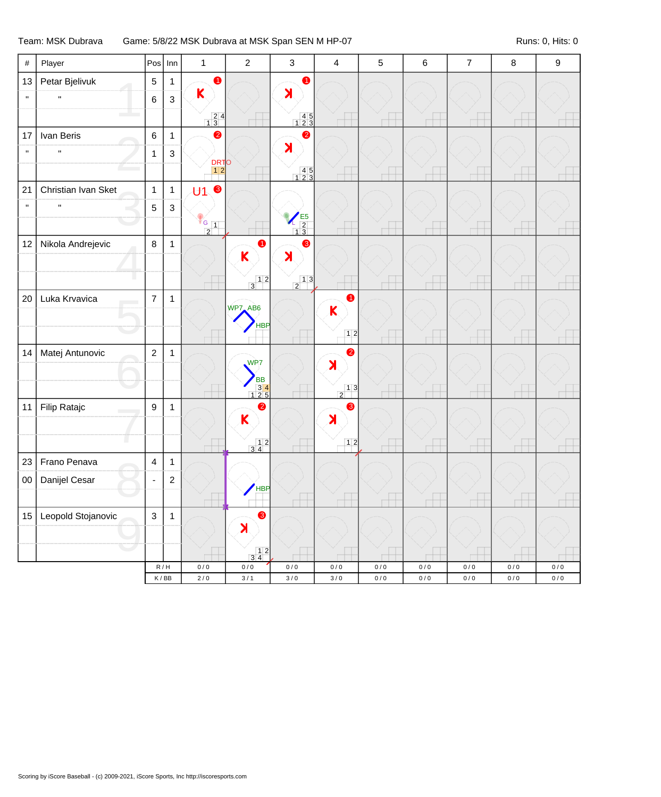## Team: MSK Dubrava Game: 5/8/22 MSK Dubrava at MSK Span SEN M HP-07 Runs: 0, Hits: 0

| $\#$         | Player              | $Pos$ Inn                   |                | $\mathbf{1}$                            | $\sqrt{2}$                                               | $\mathsf 3$                              | $\overline{\mathbf{4}}$                  | $\sqrt{5}$ | $\,6\,$   | $\overline{7}$ | $\bf 8$   | $\boldsymbol{9}$ |
|--------------|---------------------|-----------------------------|----------------|-----------------------------------------|----------------------------------------------------------|------------------------------------------|------------------------------------------|------------|-----------|----------------|-----------|------------------|
| 13           | Petar Bjelivuk      | $\sqrt{5}$                  | $\mathbf{1}$   | $\bullet$                               |                                                          | $\bullet$                                |                                          |            |           |                |           |                  |
| $\mathbf{u}$ | $\mathbf{u}$        | 6                           | $\mathsf 3$    | $\mathsf{K}$                            |                                                          | $\blacktriangleright$                    |                                          |            |           |                |           |                  |
|              |                     |                             |                | $\begin{array}{c} 24 \\ 13 \end{array}$ |                                                          | $\begin{array}{c} 45 \\ 123 \end{array}$ |                                          |            |           |                |           |                  |
| 17           | Ivan Beris          | 6                           | $\mathbf{1}$   | $\bullet$                               |                                                          | $\bullet$                                |                                          |            |           |                |           |                  |
| $\mathbf{u}$ | $\mathbf{u}$        | $\mathbf{1}$                | $\mathsf 3$    |                                         |                                                          | $\blacktriangleright$                    |                                          |            |           |                |           |                  |
|              |                     |                             |                | <b>DRTO</b>                             |                                                          | $\begin{array}{c} 45 \\ 123 \end{array}$ |                                          |            |           |                |           |                  |
| 21           | Christian Ivan Sket | $\mathbf{1}$                | $\overline{1}$ | $\bullet$<br>$\overline{U}$ 1           |                                                          |                                          |                                          |            |           |                |           |                  |
| $\mathbf{u}$ | $\mathbf{u}$        | 5                           | $\sqrt{3}$     |                                         |                                                          |                                          |                                          |            |           |                |           |                  |
|              |                     |                             |                | $rac{G}{2}$ 1                           |                                                          | $\frac{E5}{13}$                          |                                          |            |           |                |           |                  |
| 12           | Nikola Andrejevic   | $\,8\,$                     | $\mathbf{1}$   |                                         | $\bullet$                                                | $\bullet$                                |                                          |            |           |                |           |                  |
|              |                     |                             |                |                                         | K                                                        | X                                        |                                          |            |           |                |           |                  |
|              |                     |                             |                |                                         | $\begin{array}{c c} & 1 & 2 \\ \hline 3 & & \end{array}$ | $\begin{array}{c c} & 1 & 3 \end{array}$ |                                          |            |           |                |           |                  |
| 20           | Luka Krvavica       | $\overline{7}$              | $\mathbf{1}$   |                                         |                                                          |                                          | $\bullet$                                |            |           |                |           |                  |
|              |                     |                             |                |                                         | WP7_AB6                                                  |                                          | $\overline{\mathsf{K}}$                  |            |           |                |           |                  |
|              |                     |                             |                |                                         | <b>HBP</b>                                               |                                          | $12$                                     |            |           |                |           |                  |
| 14           | Matej Antunovic     | $\overline{c}$              | $\mathbf{1}$   |                                         |                                                          |                                          | $\bullet$                                |            |           |                |           |                  |
|              |                     |                             |                |                                         | WP7                                                      |                                          | $\lambda$                                |            |           |                |           |                  |
|              |                     |                             |                |                                         | <b>BB</b><br>$\begin{array}{r} 34 \\ 125 \end{array}$    |                                          | $\begin{array}{c c} & 1 & 3 \end{array}$ |            |           |                |           |                  |
| 11           | Filip Ratajc        | 9                           | $\mathbf{1}$   |                                         | ❷                                                        |                                          | ❸                                        |            |           |                |           |                  |
|              |                     |                             |                |                                         | K                                                        |                                          | $\blacktriangleright$                    |            |           |                |           |                  |
|              |                     |                             |                |                                         | $\begin{array}{c c} & 1 & 2 \\ 3 & 4 & \end{array}$      |                                          | $12$                                     |            |           |                |           |                  |
| 23           | Frano Penava        | $\overline{\mathbf{4}}$     | $\mathbf{1}$   |                                         |                                                          |                                          |                                          |            |           |                |           |                  |
| 00           | Danijel Cesar       | ä,                          | $\sqrt{2}$     |                                         |                                                          |                                          |                                          |            |           |                |           |                  |
|              |                     |                             |                |                                         | HBP                                                      |                                          |                                          |            |           |                |           |                  |
| 15           | Leopold Stojanovic  | $\mathbf{3}$                | $\mathbf{1}$   |                                         | 8                                                        |                                          |                                          |            |           |                |           |                  |
|              |                     |                             |                |                                         | X                                                        |                                          |                                          |            |           |                |           |                  |
|              |                     |                             |                |                                         | $\begin{array}{c} 1 & 2 \\ 3 & 4 \end{array}$            |                                          |                                          |            |           |                |           |                  |
|              |                     | R/H                         |                | $0/0$                                   | $0\,/\,0$                                                | $0\,/\,0$                                | $0\,/\,0$                                | $0/0$      | $0\,/\,0$ | $0\,/\,0$      | $0\,/\,0$ | $0/0$            |
|              |                     | $\mathsf K\,/\,\mathsf{BB}$ |                | $2\,/\,0$                               | $3/1$                                                    | $3\,/\,0$                                | $3\,/\,0$                                | $0\,/\,0$  | $0\,/\,0$ | $0\,/\,0$      | $0\,/\,0$ | $0\,/\,0$        |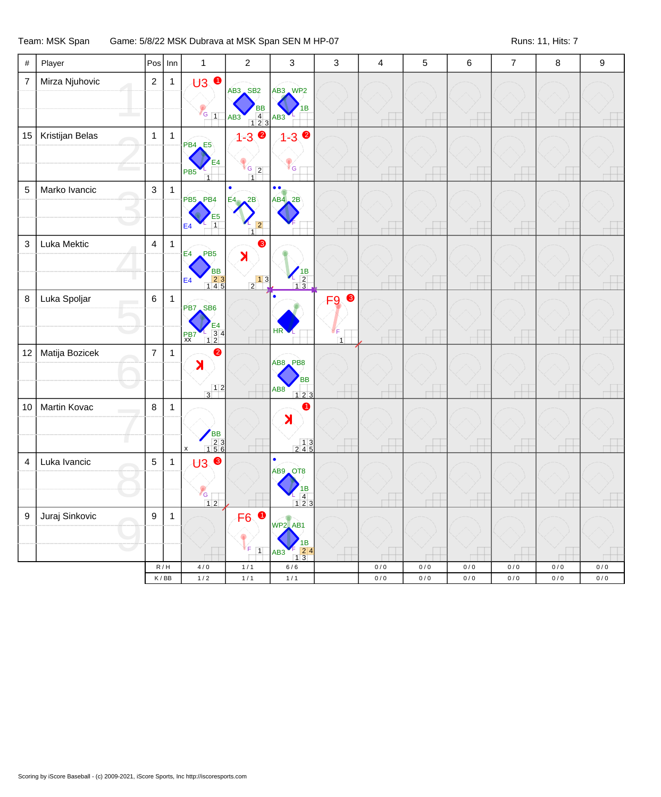## Team: MSK Span Game: 5/8/22 MSK Dubrava at MSK Span SEN M HP-07 Runs: 11, Hits: 7

| $\#$                    | Player          | Pos              | Inn                                | $\mathbf{1}$                                                                                     | $\overline{2}$                                                                                     | 3                                                                                               | 3                                            | 4              | 5              | 6                        | $\overline{7}$         | $\bf 8$                  | 9                  |
|-------------------------|-----------------|------------------|------------------------------------|--------------------------------------------------------------------------------------------------|----------------------------------------------------------------------------------------------------|-------------------------------------------------------------------------------------------------|----------------------------------------------|----------------|----------------|--------------------------|------------------------|--------------------------|--------------------|
| $\overline{7}$          | Mirza Njuhovic  | $\overline{2}$   | $\mathbf{1}$                       | <b>U3 ●</b><br>$V$ G $\vert$ 1                                                                   | AB3 SB2<br>BB<br>$\begin{array}{ c c c }\n\hline\n&4 & 3 \\ \hline\n1 & 2 & 3\n\end{array}$<br>AB3 | AB3 WP2<br>AB <sub>3</sub>                                                                      |                                              |                |                |                          |                        |                          |                    |
| 15 <sub>15</sub>        | Kristijan Belas | $\mathbf 1$      | $\mathbf{1}$                       | <b>PB4</b> E5<br>PB <sub>5</sub><br>$\overline{1}$                                               | $1 - 3$<br>$\begin{array}{ c c c }\n\hline\n\text{G} & \text{2}\n\end{array}$<br>$\overline{1}$    | $1 - 3$ $\bullet$<br><b>G</b>                                                                   |                                              |                | $\Box$         | $^+$                     |                        | $\overline{ }$           |                    |
| 5                       | Marko Ivancic   | $\mathbf{3}$     | $\mathbf{1}$                       | PB5 PB4<br>$\begin{array}{c} 1 \overline{)1} \\ 1 \overline{)1} \end{array}$<br>E4               | 2B<br>E4<br> 2 <br>$\overline{1}$                                                                  | $\bullet \bullet$<br>$AB4$ 2B                                                                   |                                              |                |                |                          |                        |                          |                    |
| $\mathsf 3$             | Luka Mektic     | $\overline{4}$   | $\mathbf{1}$                       | E4<br>PB <sub>5</sub><br><b>BB</b><br>$\begin{array}{c} 23 \\ 145 \end{array}$<br>E <sub>4</sub> | ❸<br>X<br>$\begin{array}{ c c } \hline 1 & 3 \\ 2 & 1 \end{array}$                                 | $\begin{array}{c}\n1B \\ 1B \\ 13\n\end{array}$                                                 |                                              |                | $\overline{ }$ | $\overline{\phantom{a}}$ |                        | $\overline{\phantom{a}}$ |                    |
| 8                       | Luka Spoljar    | $6\phantom{a}$   | $\mathbf{1}$                       | PB7 SB6<br>$\begin{array}{c} \boxed{24} \\ -34 \\ \boxed{12} \end{array}$<br>PB7<br>xx           |                                                                                                    | HR <sup></sup>                                                                                  | 8<br>F <sub>9</sub><br>∀F.<br>$\overline{1}$ |                | ПT             |                          |                        |                          |                    |
| 12                      | Matija Bozicek  | $\overline{7}$   | $\mathbf{1}$                       | $\bullet$<br>$\blacktriangleright$<br>$\frac{1}{3}$                                              |                                                                                                    | AB8 PB8<br><b>BB</b><br>AB8<br>$123$                                                            |                                              |                | $\overline{ }$ | н                        |                        |                          |                    |
| 10                      | Martin Kovac    | 8                | $\mathbf{1}$                       | BB<br>23<br>156<br>$\pmb{\mathsf{x}}$                                                            |                                                                                                    | 0<br>$\blacktriangleright$<br>$\begin{array}{c} 13 \\ 245 \end{array}$                          | $\Box$                                       | <b>TTT</b>     | $\Box$         |                          |                        |                          |                    |
| $\overline{\mathbf{4}}$ | Luka Ivancic    | $\overline{5}$   | $\mathbf{1}$                       | <b>U3 ®</b><br>G<br>$12$                                                                         |                                                                                                    | $\bullet$<br>AB9 OT8<br>ıв<br>$\overline{4}$<br>123                                             |                                              |                |                |                          |                        |                          |                    |
| $9\,$                   | Juraj Sinkovic  | $\boldsymbol{9}$ | $\mathbf{1}$                       |                                                                                                  | $\bullet$<br>F6<br>$V_{F}$ 1                                                                       | <b>WP2_AB1</b><br>1В<br>$\begin{array}{ c c c }\n\hline\n1 & 3\n\end{array}$<br>AB <sub>3</sub> |                                              |                |                |                          |                        |                          |                    |
|                         |                 |                  | R/H<br>$\mathsf K\,/\,\mathsf{BB}$ | $4/0$<br>$1/2$                                                                                   | $1/1$<br>$1/1$                                                                                     | $6/6$<br>$1/1$                                                                                  |                                              | $0/0$<br>$0/0$ | 0/0<br>$0/0$   | $0/0$<br>$0\,/\,0$       | $0\,/\,0$<br>$0\,/\,0$ | $0/0$<br>$0/0$           | $0\,/\,0$<br>$0/0$ |